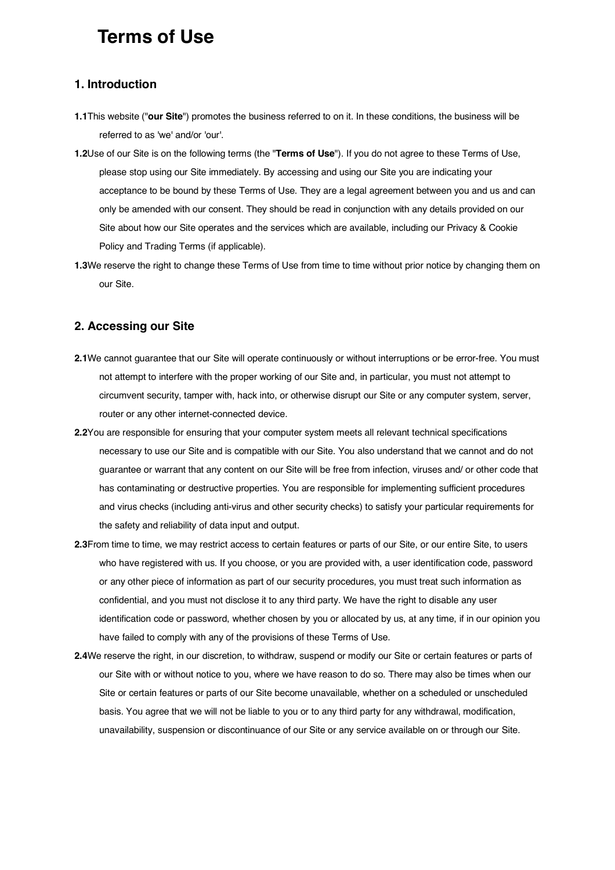# **Terms of Use**

#### **1. Introduction**

- **1.1**This website ("**our Site**") promotes the business referred to on it. In these conditions, the business will be referred to as 'we' and/or 'our'.
- **1.2**Use of our Site is on the following terms (the "**Terms of Use**"). If you do not agree to these Terms of Use, please stop using our Site immediately. By accessing and using our Site you are indicating your acceptance to be bound by these Terms of Use. They are a legal agreement between you and us and can only be amended with our consent. They should be read in conjunction with any details provided on our Site about how our Site operates and the services which are available, including our Privacy & Cookie Policy and Trading Terms (if applicable).
- **1.3**We reserve the right to change these Terms of Use from time to time without prior notice by changing them on our Site.

#### **2. Accessing our Site**

- **2.1**We cannot guarantee that our Site will operate continuously or without interruptions or be error-free. You must not attempt to interfere with the proper working of our Site and, in particular, you must not attempt to circumvent security, tamper with, hack into, or otherwise disrupt our Site or any computer system, server, router or any other internet-connected device.
- **2.2**You are responsible for ensuring that your computer system meets all relevant technical specifications necessary to use our Site and is compatible with our Site. You also understand that we cannot and do not guarantee or warrant that any content on our Site will be free from infection, viruses and/ or other code that has contaminating or destructive properties. You are responsible for implementing sufficient procedures and virus checks (including anti-virus and other security checks) to satisfy your particular requirements for the safety and reliability of data input and output.
- **2.3**From time to time, we may restrict access to certain features or parts of our Site, or our entire Site, to users who have registered with us. If you choose, or you are provided with, a user identification code, password or any other piece of information as part of our security procedures, you must treat such information as confidential, and you must not disclose it to any third party. We have the right to disable any user identification code or password, whether chosen by you or allocated by us, at any time, if in our opinion you have failed to comply with any of the provisions of these Terms of Use.
- **2.4**We reserve the right, in our discretion, to withdraw, suspend or modify our Site or certain features or parts of our Site with or without notice to you, where we have reason to do so. There may also be times when our Site or certain features or parts of our Site become unavailable, whether on a scheduled or unscheduled basis. You agree that we will not be liable to you or to any third party for any withdrawal, modification, unavailability, suspension or discontinuance of our Site or any service available on or through our Site.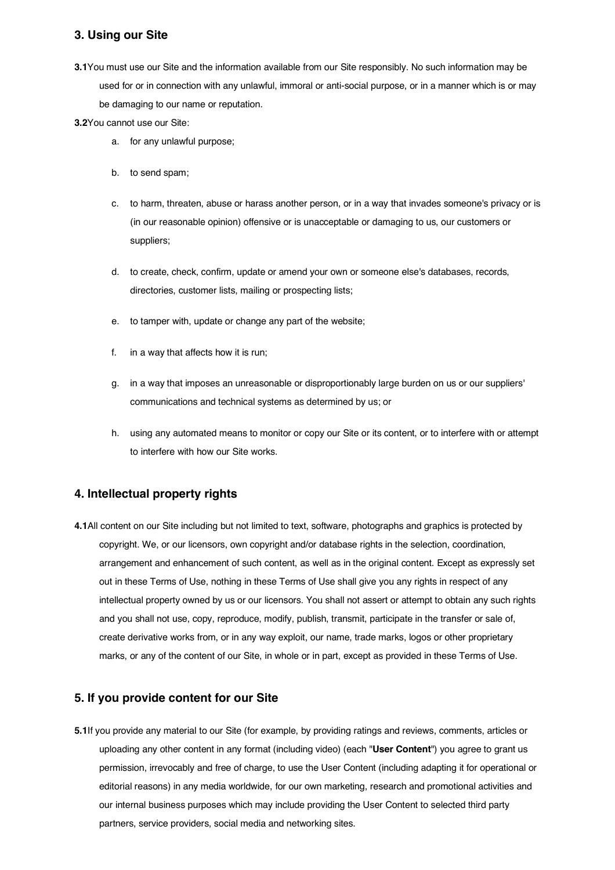### **3. Using our Site**

- **3.1**You must use our Site and the information available from our Site responsibly. No such information may be used for or in connection with any unlawful, immoral or anti-social purpose, or in a manner which is or may be damaging to our name or reputation.
- **3.2**You cannot use our Site:
	- a. for any unlawful purpose;
	- b. to send spam;
	- c. to harm, threaten, abuse or harass another person, or in a way that invades someone's privacy or is (in our reasonable opinion) offensive or is unacceptable or damaging to us, our customers or suppliers;
	- d. to create, check, confirm, update or amend your own or someone else's databases, records, directories, customer lists, mailing or prospecting lists;
	- e. to tamper with, update or change any part of the website;
	- f. in a way that affects how it is run;
	- g. in a way that imposes an unreasonable or disproportionably large burden on us or our suppliers' communications and technical systems as determined by us; or
	- h. using any automated means to monitor or copy our Site or its content, or to interfere with or attempt to interfere with how our Site works.

## **4. Intellectual property rights**

**4.1**All content on our Site including but not limited to text, software, photographs and graphics is protected by copyright. We, or our licensors, own copyright and/or database rights in the selection, coordination, arrangement and enhancement of such content, as well as in the original content. Except as expressly set out in these Terms of Use, nothing in these Terms of Use shall give you any rights in respect of any intellectual property owned by us or our licensors. You shall not assert or attempt to obtain any such rights and you shall not use, copy, reproduce, modify, publish, transmit, participate in the transfer or sale of, create derivative works from, or in any way exploit, our name, trade marks, logos or other proprietary marks, or any of the content of our Site, in whole or in part, except as provided in these Terms of Use.

#### **5. If you provide content for our Site**

**5.1**If you provide any material to our Site (for example, by providing ratings and reviews, comments, articles or uploading any other content in any format (including video) (each "**User Content**") you agree to grant us permission, irrevocably and free of charge, to use the User Content (including adapting it for operational or editorial reasons) in any media worldwide, for our own marketing, research and promotional activities and our internal business purposes which may include providing the User Content to selected third party partners, service providers, social media and networking sites.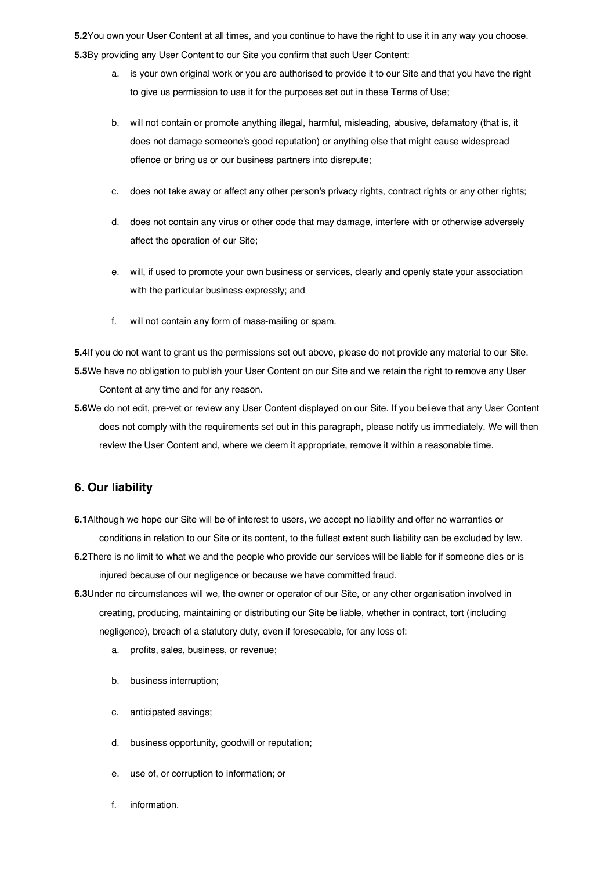**5.2**You own your User Content at all times, and you continue to have the right to use it in any way you choose. **5.3**By providing any User Content to our Site you confirm that such User Content:

- a. is your own original work or you are authorised to provide it to our Site and that you have the right to give us permission to use it for the purposes set out in these Terms of Use;
- b. will not contain or promote anything illegal, harmful, misleading, abusive, defamatory (that is, it does not damage someone's good reputation) or anything else that might cause widespread offence or bring us or our business partners into disrepute;
- c. does not take away or affect any other person's privacy rights, contract rights or any other rights;
- d. does not contain any virus or other code that may damage, interfere with or otherwise adversely affect the operation of our Site;
- e. will, if used to promote your own business or services, clearly and openly state your association with the particular business expressly; and
- f. will not contain any form of mass-mailing or spam.

**5.4**If you do not want to grant us the permissions set out above, please do not provide any material to our Site. **5.5**We have no obligation to publish your User Content on our Site and we retain the right to remove any User Content at any time and for any reason.

**5.6**We do not edit, pre-vet or review any User Content displayed on our Site. If you believe that any User Content does not comply with the requirements set out in this paragraph, please notify us immediately. We will then review the User Content and, where we deem it appropriate, remove it within a reasonable time.

#### **6. Our liability**

- **6.1**Although we hope our Site will be of interest to users, we accept no liability and offer no warranties or conditions in relation to our Site or its content, to the fullest extent such liability can be excluded by law.
- **6.2**There is no limit to what we and the people who provide our services will be liable for if someone dies or is injured because of our negligence or because we have committed fraud.
- **6.3**Under no circumstances will we, the owner or operator of our Site, or any other organisation involved in creating, producing, maintaining or distributing our Site be liable, whether in contract, tort (including negligence), breach of a statutory duty, even if foreseeable, for any loss of:
	- a. profits, sales, business, or revenue;
	- b. business interruption;
	- c. anticipated savings;
	- d. business opportunity, goodwill or reputation;
	- e. use of, or corruption to information; or
	- f. information.